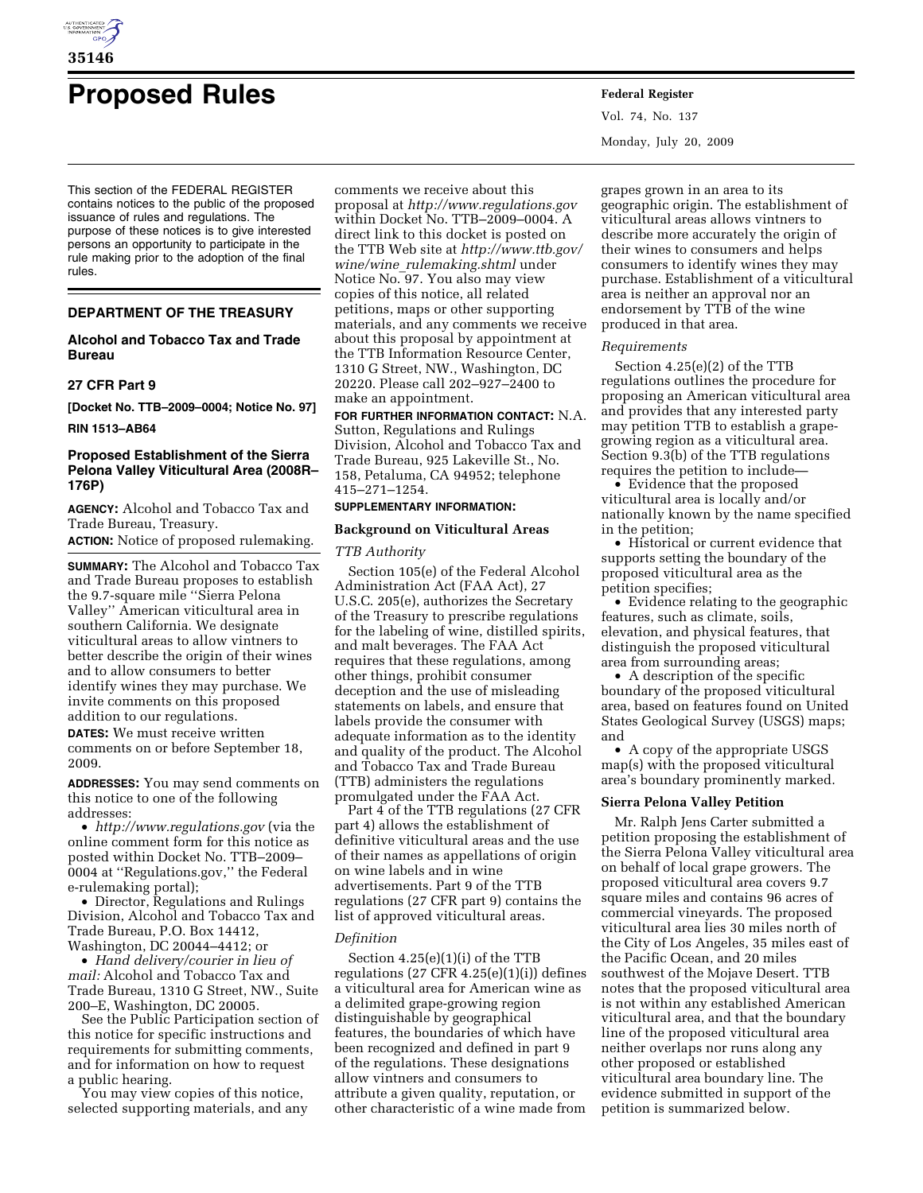

# **Proposed Rules Federal Register**

This section of the FEDERAL REGISTER contains notices to the public of the proposed issuance of rules and regulations. The purpose of these notices is to give interested persons an opportunity to participate in the rule making prior to the adoption of the final rules.

# **DEPARTMENT OF THE TREASURY**

# **Alcohol and Tobacco Tax and Trade Bureau**

#### **27 CFR Part 9**

**[Docket No. TTB–2009–0004; Notice No. 97]** 

**RIN 1513–AB64** 

# **Proposed Establishment of the Sierra Pelona Valley Viticultural Area (2008R– 176P)**

**AGENCY:** Alcohol and Tobacco Tax and Trade Bureau, Treasury.

**ACTION:** Notice of proposed rulemaking.

**SUMMARY:** The Alcohol and Tobacco Tax and Trade Bureau proposes to establish the 9.7-square mile ''Sierra Pelona Valley'' American viticultural area in southern California. We designate viticultural areas to allow vintners to better describe the origin of their wines and to allow consumers to better identify wines they may purchase. We invite comments on this proposed addition to our regulations.

**DATES:** We must receive written comments on or before September 18, 2009.

**ADDRESSES:** You may send comments on this notice to one of the following addresses:

• *http://www.regulations.gov* (via the online comment form for this notice as posted within Docket No. TTB–2009– 0004 at ''Regulations.gov,'' the Federal e-rulemaking portal);

• Director, Regulations and Rulings Division, Alcohol and Tobacco Tax and Trade Bureau, P.O. Box 14412, Washington, DC 20044–4412; or

• *Hand delivery/courier in lieu of mail:* Alcohol and Tobacco Tax and Trade Bureau, 1310 G Street, NW., Suite 200–E, Washington, DC 20005.

See the Public Participation section of this notice for specific instructions and requirements for submitting comments, and for information on how to request a public hearing.

You may view copies of this notice, selected supporting materials, and any

comments we receive about this proposal at *http://www.regulations.gov*  within Docket No. TTB–2009–0004. A direct link to this docket is posted on the TTB Web site at *http://www.ttb.gov/ wine/wine*\_*rulemaking.shtml* under Notice No. 97. You also may view copies of this notice, all related petitions, maps or other supporting materials, and any comments we receive about this proposal by appointment at the TTB Information Resource Center, 1310 G Street, NW., Washington, DC 20220. Please call 202–927–2400 to make an appointment.

**FOR FURTHER INFORMATION CONTACT:** N.A. Sutton, Regulations and Rulings Division, Alcohol and Tobacco Tax and Trade Bureau, 925 Lakeville St., No.

158, Petaluma, CA 94952; telephone 415–271–1254.

# **SUPPLEMENTARY INFORMATION:**

# **Background on Viticultural Areas**

#### *TTB Authority*

Section 105(e) of the Federal Alcohol Administration Act (FAA Act), 27 U.S.C. 205(e), authorizes the Secretary of the Treasury to prescribe regulations for the labeling of wine, distilled spirits, and malt beverages. The FAA Act requires that these regulations, among other things, prohibit consumer deception and the use of misleading statements on labels, and ensure that labels provide the consumer with adequate information as to the identity and quality of the product. The Alcohol and Tobacco Tax and Trade Bureau (TTB) administers the regulations promulgated under the FAA Act.

Part 4 of the TTB regulations (27 CFR part 4) allows the establishment of definitive viticultural areas and the use of their names as appellations of origin on wine labels and in wine advertisements. Part 9 of the TTB regulations (27 CFR part 9) contains the list of approved viticultural areas.

## *Definition*

Section 4.25(e)(1)(i) of the TTB regulations  $(27 \text{ CFR } 4.25(e)(1)(i))$  defines a viticultural area for American wine as a delimited grape-growing region distinguishable by geographical features, the boundaries of which have been recognized and defined in part 9 of the regulations. These designations allow vintners and consumers to attribute a given quality, reputation, or other characteristic of a wine made from

Vol. 74, No. 137 Monday, July 20, 2009

grapes grown in an area to its geographic origin. The establishment of viticultural areas allows vintners to describe more accurately the origin of their wines to consumers and helps consumers to identify wines they may purchase. Establishment of a viticultural area is neither an approval nor an endorsement by TTB of the wine produced in that area.

#### *Requirements*

Section 4.25(e)(2) of the TTB regulations outlines the procedure for proposing an American viticultural area and provides that any interested party may petition TTB to establish a grapegrowing region as a viticultural area. Section 9.3(b) of the TTB regulations requires the petition to include—

• Evidence that the proposed viticultural area is locally and/or nationally known by the name specified in the petition;

• Historical or current evidence that supports setting the boundary of the proposed viticultural area as the petition specifies;

• Evidence relating to the geographic features, such as climate, soils, elevation, and physical features, that distinguish the proposed viticultural area from surrounding areas;

• A description of the specific boundary of the proposed viticultural area, based on features found on United States Geological Survey (USGS) maps; and

• A copy of the appropriate USGS map(s) with the proposed viticultural area's boundary prominently marked.

#### **Sierra Pelona Valley Petition**

Mr. Ralph Jens Carter submitted a petition proposing the establishment of the Sierra Pelona Valley viticultural area on behalf of local grape growers. The proposed viticultural area covers 9.7 square miles and contains 96 acres of commercial vineyards. The proposed viticultural area lies 30 miles north of the City of Los Angeles, 35 miles east of the Pacific Ocean, and 20 miles southwest of the Mojave Desert. TTB notes that the proposed viticultural area is not within any established American viticultural area, and that the boundary line of the proposed viticultural area neither overlaps nor runs along any other proposed or established viticultural area boundary line. The evidence submitted in support of the petition is summarized below.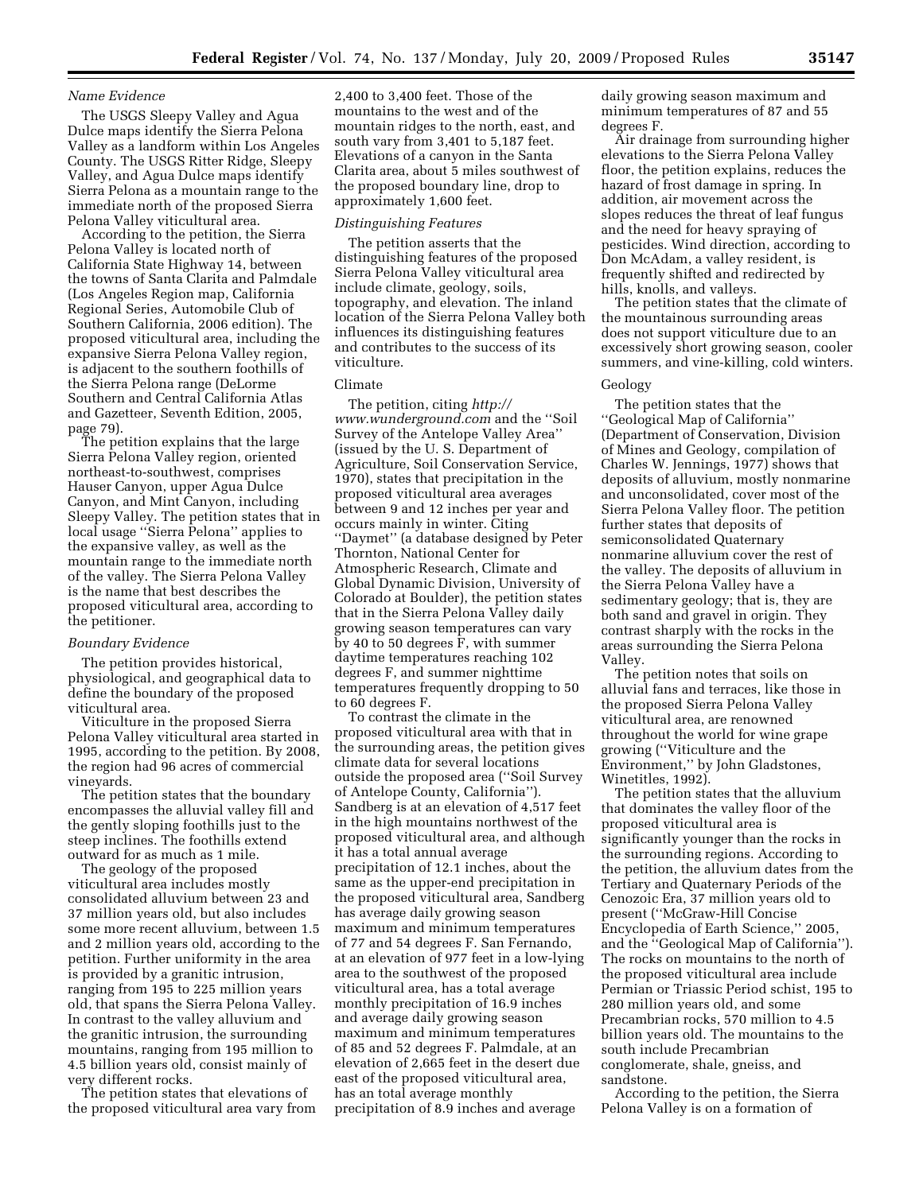## *Name Evidence*

The USGS Sleepy Valley and Agua Dulce maps identify the Sierra Pelona Valley as a landform within Los Angeles County. The USGS Ritter Ridge, Sleepy Valley, and Agua Dulce maps identify Sierra Pelona as a mountain range to the immediate north of the proposed Sierra Pelona Valley viticultural area.

According to the petition, the Sierra Pelona Valley is located north of California State Highway 14, between the towns of Santa Clarita and Palmdale (Los Angeles Region map, California Regional Series, Automobile Club of Southern California, 2006 edition). The proposed viticultural area, including the expansive Sierra Pelona Valley region, is adjacent to the southern foothills of the Sierra Pelona range (DeLorme Southern and Central California Atlas and Gazetteer, Seventh Edition, 2005, page 79).

The petition explains that the large Sierra Pelona Valley region, oriented northeast-to-southwest, comprises Hauser Canyon, upper Agua Dulce Canyon, and Mint Canyon, including Sleepy Valley. The petition states that in local usage ''Sierra Pelona'' applies to the expansive valley, as well as the mountain range to the immediate north of the valley. The Sierra Pelona Valley is the name that best describes the proposed viticultural area, according to the petitioner.

## *Boundary Evidence*

The petition provides historical, physiological, and geographical data to define the boundary of the proposed viticultural area.

Viticulture in the proposed Sierra Pelona Valley viticultural area started in 1995, according to the petition. By 2008, the region had 96 acres of commercial vineyards.

The petition states that the boundary encompasses the alluvial valley fill and the gently sloping foothills just to the steep inclines. The foothills extend outward for as much as 1 mile.

The geology of the proposed viticultural area includes mostly consolidated alluvium between 23 and 37 million years old, but also includes some more recent alluvium, between 1.5 and 2 million years old, according to the petition. Further uniformity in the area is provided by a granitic intrusion, ranging from 195 to 225 million years old, that spans the Sierra Pelona Valley. In contrast to the valley alluvium and the granitic intrusion, the surrounding mountains, ranging from 195 million to 4.5 billion years old, consist mainly of very different rocks.

The petition states that elevations of the proposed viticultural area vary from

2,400 to 3,400 feet. Those of the mountains to the west and of the mountain ridges to the north, east, and south vary from 3,401 to 5,187 feet. Elevations of a canyon in the Santa Clarita area, about 5 miles southwest of the proposed boundary line, drop to approximately 1,600 feet.

#### *Distinguishing Features*

The petition asserts that the distinguishing features of the proposed Sierra Pelona Valley viticultural area include climate, geology, soils, topography, and elevation. The inland location of the Sierra Pelona Valley both influences its distinguishing features and contributes to the success of its viticulture.

#### Climate

The petition, citing *http:// www.wunderground.com* and the ''Soil Survey of the Antelope Valley Area'' (issued by the U. S. Department of Agriculture, Soil Conservation Service, 1970), states that precipitation in the proposed viticultural area averages between 9 and 12 inches per year and occurs mainly in winter. Citing ''Daymet'' (a database designed by Peter Thornton, National Center for Atmospheric Research, Climate and Global Dynamic Division, University of Colorado at Boulder), the petition states that in the Sierra Pelona Valley daily growing season temperatures can vary by 40 to 50 degrees F, with summer daytime temperatures reaching 102 degrees F, and summer nighttime temperatures frequently dropping to 50 to 60 degrees F.

To contrast the climate in the proposed viticultural area with that in the surrounding areas, the petition gives climate data for several locations outside the proposed area (''Soil Survey of Antelope County, California''). Sandberg is at an elevation of 4,517 feet in the high mountains northwest of the proposed viticultural area, and although it has a total annual average precipitation of 12.1 inches, about the same as the upper-end precipitation in the proposed viticultural area, Sandberg has average daily growing season maximum and minimum temperatures of 77 and 54 degrees F. San Fernando, at an elevation of 977 feet in a low-lying area to the southwest of the proposed viticultural area, has a total average monthly precipitation of 16.9 inches and average daily growing season maximum and minimum temperatures of 85 and 52 degrees F. Palmdale, at an elevation of 2,665 feet in the desert due east of the proposed viticultural area, has an total average monthly precipitation of 8.9 inches and average

daily growing season maximum and minimum temperatures of 87 and 55 degrees F.

Air drainage from surrounding higher elevations to the Sierra Pelona Valley floor, the petition explains, reduces the hazard of frost damage in spring. In addition, air movement across the slopes reduces the threat of leaf fungus and the need for heavy spraying of pesticides. Wind direction, according to Don McAdam, a valley resident, is frequently shifted and redirected by hills, knolls, and valleys.

The petition states that the climate of the mountainous surrounding areas does not support viticulture due to an excessively short growing season, cooler summers, and vine-killing, cold winters.

#### Geology

The petition states that the ''Geological Map of California'' (Department of Conservation, Division of Mines and Geology, compilation of Charles W. Jennings, 1977) shows that deposits of alluvium, mostly nonmarine and unconsolidated, cover most of the Sierra Pelona Valley floor. The petition further states that deposits of semiconsolidated Quaternary nonmarine alluvium cover the rest of the valley. The deposits of alluvium in the Sierra Pelona Valley have a sedimentary geology; that is, they are both sand and gravel in origin. They contrast sharply with the rocks in the areas surrounding the Sierra Pelona Valley.

The petition notes that soils on alluvial fans and terraces, like those in the proposed Sierra Pelona Valley viticultural area, are renowned throughout the world for wine grape growing (''Viticulture and the Environment,'' by John Gladstones, Winetitles, 1992).

The petition states that the alluvium that dominates the valley floor of the proposed viticultural area is significantly younger than the rocks in the surrounding regions. According to the petition, the alluvium dates from the Tertiary and Quaternary Periods of the Cenozoic Era, 37 million years old to present (''McGraw-Hill Concise Encyclopedia of Earth Science,'' 2005, and the ''Geological Map of California''). The rocks on mountains to the north of the proposed viticultural area include Permian or Triassic Period schist, 195 to 280 million years old, and some Precambrian rocks, 570 million to 4.5 billion years old. The mountains to the south include Precambrian conglomerate, shale, gneiss, and sandstone.

According to the petition, the Sierra Pelona Valley is on a formation of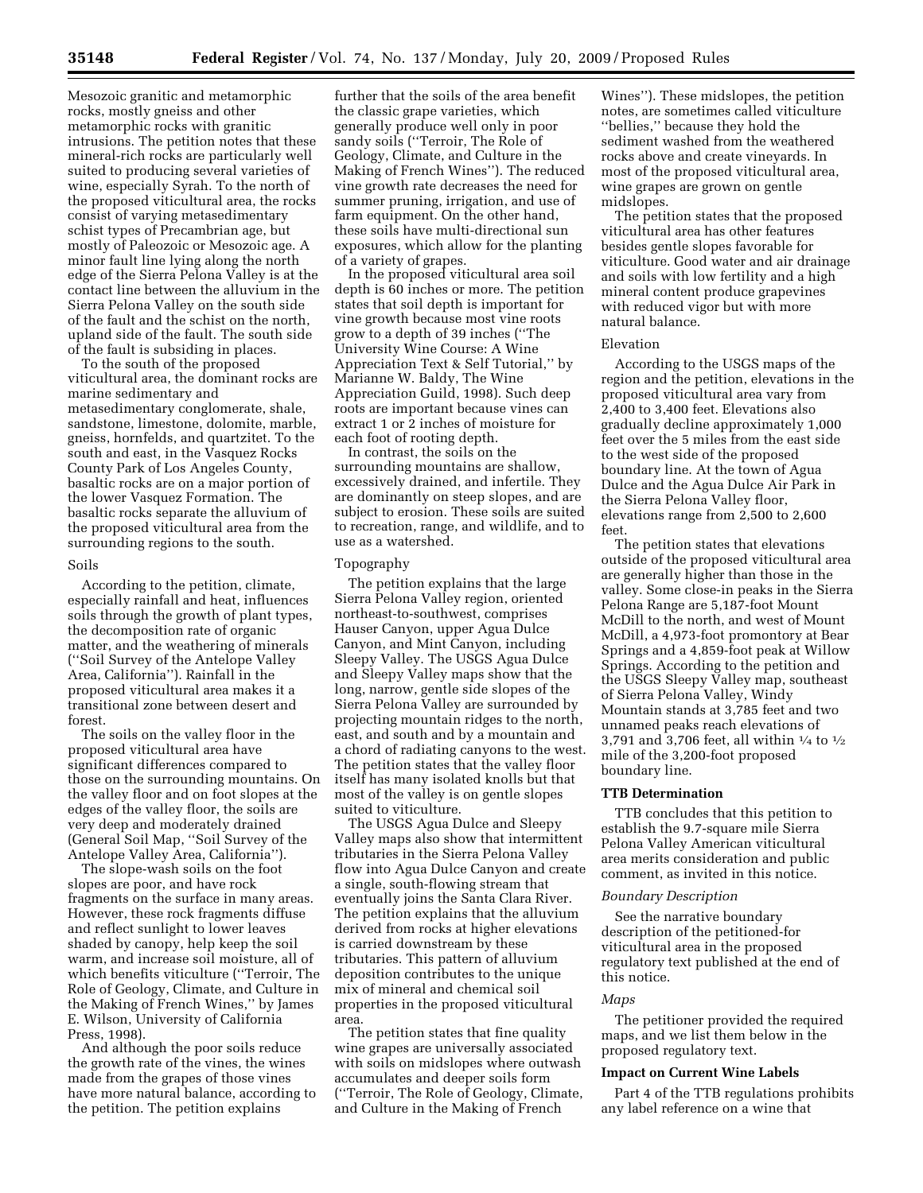Mesozoic granitic and metamorphic rocks, mostly gneiss and other metamorphic rocks with granitic intrusions. The petition notes that these mineral-rich rocks are particularly well suited to producing several varieties of wine, especially Syrah. To the north of the proposed viticultural area, the rocks consist of varying metasedimentary schist types of Precambrian age, but mostly of Paleozoic or Mesozoic age. A minor fault line lying along the north edge of the Sierra Pelona Valley is at the contact line between the alluvium in the Sierra Pelona Valley on the south side of the fault and the schist on the north, upland side of the fault. The south side of the fault is subsiding in places.

To the south of the proposed viticultural area, the dominant rocks are marine sedimentary and metasedimentary conglomerate, shale, sandstone, limestone, dolomite, marble, gneiss, hornfelds, and quartzitet. To the south and east, in the Vasquez Rocks County Park of Los Angeles County, basaltic rocks are on a major portion of the lower Vasquez Formation. The basaltic rocks separate the alluvium of the proposed viticultural area from the surrounding regions to the south.

#### Soils

According to the petition, climate, especially rainfall and heat, influences soils through the growth of plant types, the decomposition rate of organic matter, and the weathering of minerals (''Soil Survey of the Antelope Valley Area, California''). Rainfall in the proposed viticultural area makes it a transitional zone between desert and forest.

The soils on the valley floor in the proposed viticultural area have significant differences compared to those on the surrounding mountains. On the valley floor and on foot slopes at the edges of the valley floor, the soils are very deep and moderately drained (General Soil Map, ''Soil Survey of the Antelope Valley Area, California'').

The slope-wash soils on the foot slopes are poor, and have rock fragments on the surface in many areas. However, these rock fragments diffuse and reflect sunlight to lower leaves shaded by canopy, help keep the soil warm, and increase soil moisture, all of which benefits viticulture (''Terroir, The Role of Geology, Climate, and Culture in the Making of French Wines,'' by James E. Wilson, University of California Press, 1998).

And although the poor soils reduce the growth rate of the vines, the wines made from the grapes of those vines have more natural balance, according to the petition. The petition explains

further that the soils of the area benefit the classic grape varieties, which generally produce well only in poor sandy soils (''Terroir, The Role of Geology, Climate, and Culture in the Making of French Wines''). The reduced vine growth rate decreases the need for summer pruning, irrigation, and use of farm equipment. On the other hand, these soils have multi-directional sun exposures, which allow for the planting of a variety of grapes.

In the proposed viticultural area soil depth is 60 inches or more. The petition states that soil depth is important for vine growth because most vine roots grow to a depth of 39 inches (''The University Wine Course: A Wine Appreciation Text & Self Tutorial,'' by Marianne W. Baldy, The Wine Appreciation Guild, 1998). Such deep roots are important because vines can extract 1 or 2 inches of moisture for each foot of rooting depth.

In contrast, the soils on the surrounding mountains are shallow, excessively drained, and infertile. They are dominantly on steep slopes, and are subject to erosion. These soils are suited to recreation, range, and wildlife, and to use as a watershed.

# Topography

The petition explains that the large Sierra Pelona Valley region, oriented northeast-to-southwest, comprises Hauser Canyon, upper Agua Dulce Canyon, and Mint Canyon, including Sleepy Valley. The USGS Agua Dulce and Sleepy Valley maps show that the long, narrow, gentle side slopes of the Sierra Pelona Valley are surrounded by projecting mountain ridges to the north, east, and south and by a mountain and a chord of radiating canyons to the west. The petition states that the valley floor itself has many isolated knolls but that most of the valley is on gentle slopes suited to viticulture.

The USGS Agua Dulce and Sleepy Valley maps also show that intermittent tributaries in the Sierra Pelona Valley flow into Agua Dulce Canyon and create a single, south-flowing stream that eventually joins the Santa Clara River. The petition explains that the alluvium derived from rocks at higher elevations is carried downstream by these tributaries. This pattern of alluvium deposition contributes to the unique mix of mineral and chemical soil properties in the proposed viticultural area.

The petition states that fine quality wine grapes are universally associated with soils on midslopes where outwash accumulates and deeper soils form (''Terroir, The Role of Geology, Climate, and Culture in the Making of French

Wines''). These midslopes, the petition notes, are sometimes called viticulture ''bellies,'' because they hold the sediment washed from the weathered rocks above and create vineyards. In most of the proposed viticultural area, wine grapes are grown on gentle midslopes.

The petition states that the proposed viticultural area has other features besides gentle slopes favorable for viticulture. Good water and air drainage and soils with low fertility and a high mineral content produce grapevines with reduced vigor but with more natural balance.

#### Elevation

According to the USGS maps of the region and the petition, elevations in the proposed viticultural area vary from 2,400 to 3,400 feet. Elevations also gradually decline approximately 1,000 feet over the 5 miles from the east side to the west side of the proposed boundary line. At the town of Agua Dulce and the Agua Dulce Air Park in the Sierra Pelona Valley floor, elevations range from 2,500 to 2,600 feet.

The petition states that elevations outside of the proposed viticultural area are generally higher than those in the valley. Some close-in peaks in the Sierra Pelona Range are 5,187-foot Mount McDill to the north, and west of Mount McDill, a 4,973-foot promontory at Bear Springs and a 4,859-foot peak at Willow Springs. According to the petition and the USGS Sleepy Valley map, southeast of Sierra Pelona Valley, Windy Mountain stands at 3,785 feet and two unnamed peaks reach elevations of 3,791 and 3,706 feet, all within 1⁄4 to 1⁄2 mile of the 3,200-foot proposed boundary line.

#### **TTB Determination**

TTB concludes that this petition to establish the 9.7-square mile Sierra Pelona Valley American viticultural area merits consideration and public comment, as invited in this notice.

#### *Boundary Description*

See the narrative boundary description of the petitioned-for viticultural area in the proposed regulatory text published at the end of this notice.

#### *Maps*

The petitioner provided the required maps, and we list them below in the proposed regulatory text.

#### **Impact on Current Wine Labels**

Part 4 of the TTB regulations prohibits any label reference on a wine that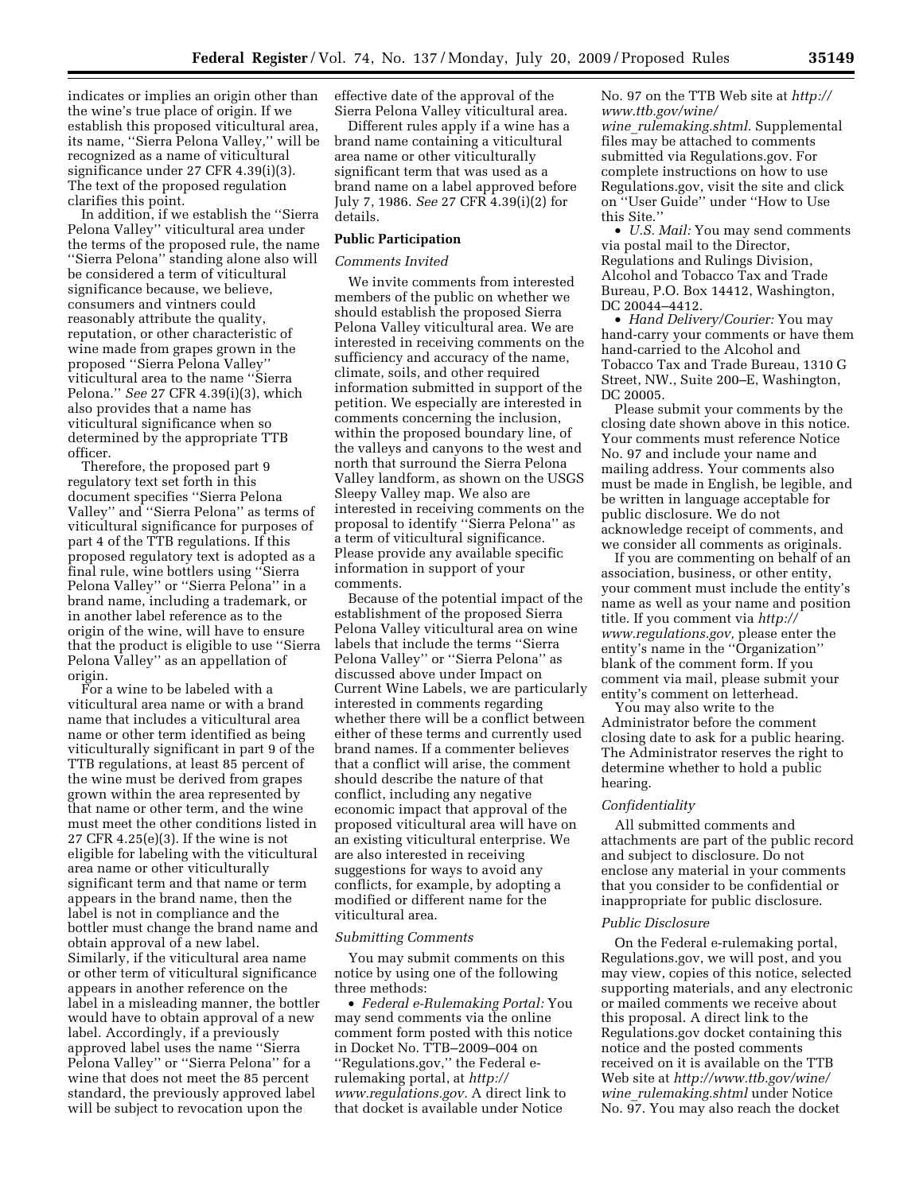indicates or implies an origin other than the wine's true place of origin. If we establish this proposed viticultural area, its name, ''Sierra Pelona Valley,'' will be recognized as a name of viticultural significance under 27 CFR 4.39(i)(3). The text of the proposed regulation clarifies this point.

In addition, if we establish the ''Sierra Pelona Valley'' viticultural area under the terms of the proposed rule, the name ''Sierra Pelona'' standing alone also will be considered a term of viticultural significance because, we believe, consumers and vintners could reasonably attribute the quality, reputation, or other characteristic of wine made from grapes grown in the proposed ''Sierra Pelona Valley'' viticultural area to the name ''Sierra Pelona.'' *See* 27 CFR 4.39(i)(3), which also provides that a name has viticultural significance when so determined by the appropriate TTB officer.

Therefore, the proposed part 9 regulatory text set forth in this document specifies ''Sierra Pelona Valley'' and ''Sierra Pelona'' as terms of viticultural significance for purposes of part 4 of the TTB regulations. If this proposed regulatory text is adopted as a final rule, wine bottlers using ''Sierra Pelona Valley'' or ''Sierra Pelona'' in a brand name, including a trademark, or in another label reference as to the origin of the wine, will have to ensure that the product is eligible to use ''Sierra Pelona Valley'' as an appellation of origin.

For a wine to be labeled with a viticultural area name or with a brand name that includes a viticultural area name or other term identified as being viticulturally significant in part 9 of the TTB regulations, at least 85 percent of the wine must be derived from grapes grown within the area represented by that name or other term, and the wine must meet the other conditions listed in 27 CFR 4.25(e)(3). If the wine is not eligible for labeling with the viticultural area name or other viticulturally significant term and that name or term appears in the brand name, then the label is not in compliance and the bottler must change the brand name and obtain approval of a new label. Similarly, if the viticultural area name or other term of viticultural significance appears in another reference on the label in a misleading manner, the bottler would have to obtain approval of a new label. Accordingly, if a previously approved label uses the name ''Sierra Pelona Valley'' or ''Sierra Pelona'' for a wine that does not meet the 85 percent standard, the previously approved label will be subject to revocation upon the

effective date of the approval of the Sierra Pelona Valley viticultural area.

Different rules apply if a wine has a brand name containing a viticultural area name or other viticulturally significant term that was used as a brand name on a label approved before July 7, 1986. *See* 27 CFR 4.39(i)(2) for details.

# **Public Participation**

# *Comments Invited*

We invite comments from interested members of the public on whether we should establish the proposed Sierra Pelona Valley viticultural area. We are interested in receiving comments on the sufficiency and accuracy of the name, climate, soils, and other required information submitted in support of the petition. We especially are interested in comments concerning the inclusion, within the proposed boundary line, of the valleys and canyons to the west and north that surround the Sierra Pelona Valley landform, as shown on the USGS Sleepy Valley map. We also are interested in receiving comments on the proposal to identify ''Sierra Pelona'' as a term of viticultural significance. Please provide any available specific information in support of your comments.

Because of the potential impact of the establishment of the proposed Sierra Pelona Valley viticultural area on wine labels that include the terms ''Sierra Pelona Valley'' or ''Sierra Pelona'' as discussed above under Impact on Current Wine Labels, we are particularly interested in comments regarding whether there will be a conflict between either of these terms and currently used brand names. If a commenter believes that a conflict will arise, the comment should describe the nature of that conflict, including any negative economic impact that approval of the proposed viticultural area will have on an existing viticultural enterprise. We are also interested in receiving suggestions for ways to avoid any conflicts, for example, by adopting a modified or different name for the viticultural area.

#### *Submitting Comments*

You may submit comments on this notice by using one of the following three methods:

• *Federal e-Rulemaking Portal:* You may send comments via the online comment form posted with this notice in Docket No. TTB–2009–004 on ''Regulations.gov,'' the Federal erulemaking portal, at *http:// www.regulations.gov.* A direct link to that docket is available under Notice

No. 97 on the TTB Web site at *http:// www.ttb.gov/wine/* 

*wine*\_*rulemaking.shtml.* Supplemental files may be attached to comments submitted via Regulations.gov. For complete instructions on how to use Regulations.gov, visit the site and click on ''User Guide'' under ''How to Use this Site.''

• *U.S. Mail:* You may send comments via postal mail to the Director, Regulations and Rulings Division, Alcohol and Tobacco Tax and Trade Bureau, P.O. Box 14412, Washington, DC 20044–4412.

• *Hand Delivery/Courier:* You may hand-carry your comments or have them hand-carried to the Alcohol and Tobacco Tax and Trade Bureau, 1310 G Street, NW., Suite 200–E, Washington, DC 20005.

Please submit your comments by the closing date shown above in this notice. Your comments must reference Notice No. 97 and include your name and mailing address. Your comments also must be made in English, be legible, and be written in language acceptable for public disclosure. We do not acknowledge receipt of comments, and we consider all comments as originals.

If you are commenting on behalf of an association, business, or other entity, your comment must include the entity's name as well as your name and position title. If you comment via *http:// www.regulations.gov,* please enter the entity's name in the ''Organization'' blank of the comment form. If you comment via mail, please submit your entity's comment on letterhead.

You may also write to the Administrator before the comment closing date to ask for a public hearing. The Administrator reserves the right to determine whether to hold a public hearing.

## *Confidentiality*

All submitted comments and attachments are part of the public record and subject to disclosure. Do not enclose any material in your comments that you consider to be confidential or inappropriate for public disclosure.

## *Public Disclosure*

On the Federal e-rulemaking portal, Regulations.gov, we will post, and you may view, copies of this notice, selected supporting materials, and any electronic or mailed comments we receive about this proposal. A direct link to the Regulations.gov docket containing this notice and the posted comments received on it is available on the TTB Web site at *http://www.ttb.gov/wine/ wine*\_*rulemaking.shtml* under Notice No. 97. You may also reach the docket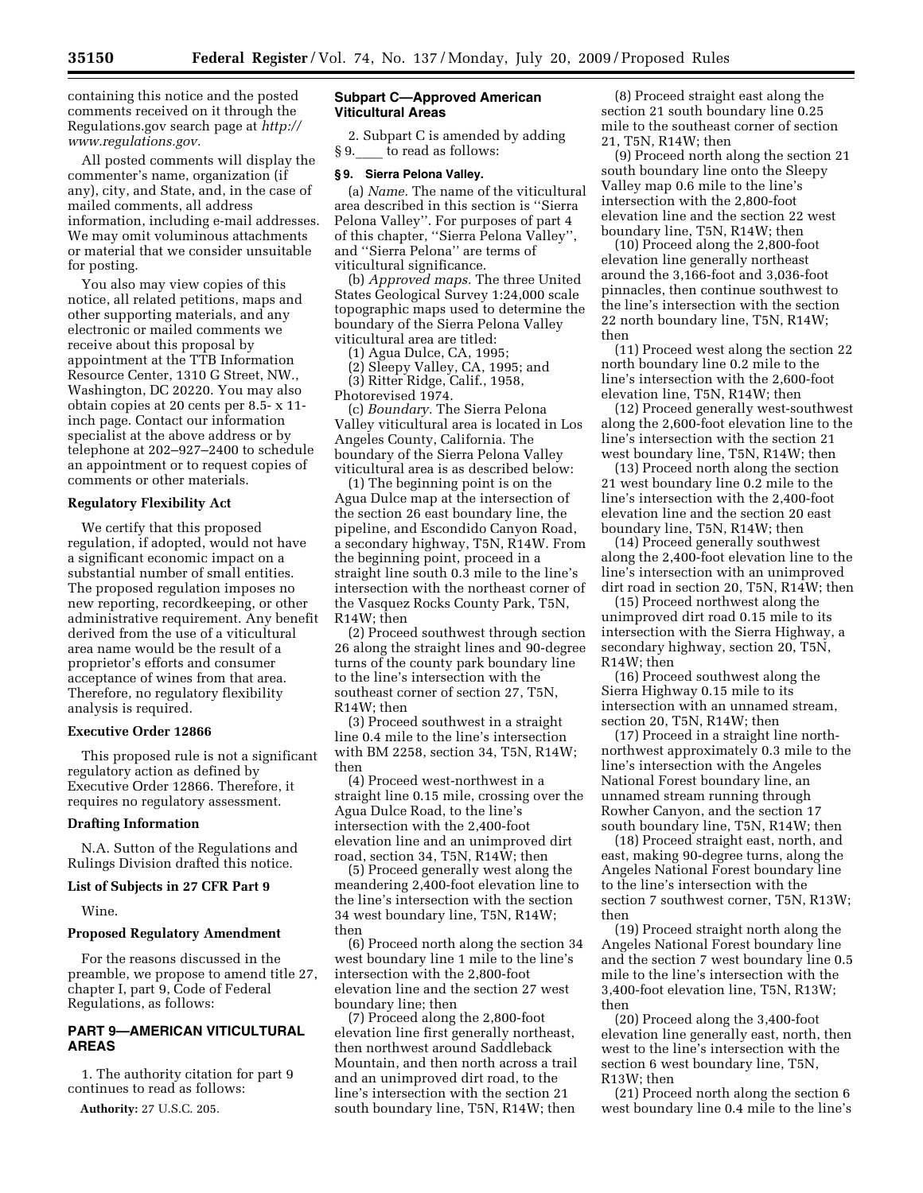containing this notice and the posted comments received on it through the Regulations.gov search page at *http:// www.regulations.gov.* 

All posted comments will display the commenter's name, organization (if any), city, and State, and, in the case of mailed comments, all address information, including e-mail addresses. We may omit voluminous attachments or material that we consider unsuitable for posting.

You also may view copies of this notice, all related petitions, maps and other supporting materials, and any electronic or mailed comments we receive about this proposal by appointment at the TTB Information Resource Center, 1310 G Street, NW., Washington, DC 20220. You may also obtain copies at 20 cents per 8.5- x 11 inch page. Contact our information specialist at the above address or by telephone at 202–927–2400 to schedule an appointment or to request copies of comments or other materials.

# **Regulatory Flexibility Act**

We certify that this proposed regulation, if adopted, would not have a significant economic impact on a substantial number of small entities. The proposed regulation imposes no new reporting, recordkeeping, or other administrative requirement. Any benefit derived from the use of a viticultural area name would be the result of a proprietor's efforts and consumer acceptance of wines from that area. Therefore, no regulatory flexibility analysis is required.

#### **Executive Order 12866**

This proposed rule is not a significant regulatory action as defined by Executive Order 12866. Therefore, it requires no regulatory assessment.

#### **Drafting Information**

N.A. Sutton of the Regulations and Rulings Division drafted this notice.

#### **List of Subjects in 27 CFR Part 9**

Wine.

#### **Proposed Regulatory Amendment**

For the reasons discussed in the preamble, we propose to amend title 27, chapter I, part 9, Code of Federal Regulations, as follows:

# **PART 9—AMERICAN VITICULTURAL AREAS**

1. The authority citation for part 9 continues to read as follows:

**Authority:** 27 U.S.C. 205.

# **Subpart C—Approved American Viticultural Areas**

2. Subpart C is amended by adding § 9. to read as follows:

## **§ 9. Sierra Pelona Valley.**

(a) *Name.* The name of the viticultural area described in this section is ''Sierra Pelona Valley''. For purposes of part 4 of this chapter, ''Sierra Pelona Valley'', and ''Sierra Pelona'' are terms of viticultural significance.

(b) *Approved maps.* The three United States Geological Survey 1:24,000 scale topographic maps used to determine the boundary of the Sierra Pelona Valley viticultural area are titled:

(1) Agua Dulce, CA, 1995;

(2) Sleepy Valley, CA, 1995; and (3) Ritter Ridge, Calif., 1958,

Photorevised 1974.

(c) *Boundary.* The Sierra Pelona Valley viticultural area is located in Los Angeles County, California. The boundary of the Sierra Pelona Valley viticultural area is as described below:

(1) The beginning point is on the Agua Dulce map at the intersection of the section 26 east boundary line, the pipeline, and Escondido Canyon Road, a secondary highway, T5N, R14W. From the beginning point, proceed in a straight line south 0.3 mile to the line's intersection with the northeast corner of the Vasquez Rocks County Park, T5N, R14W; then

(2) Proceed southwest through section 26 along the straight lines and 90-degree turns of the county park boundary line to the line's intersection with the southeast corner of section 27, T5N, R14W; then

(3) Proceed southwest in a straight line 0.4 mile to the line's intersection with BM 2258, section 34, T5N, R14W; then

(4) Proceed west-northwest in a straight line 0.15 mile, crossing over the Agua Dulce Road, to the line's intersection with the 2,400-foot elevation line and an unimproved dirt road, section 34, T5N, R14W; then

(5) Proceed generally west along the meandering 2,400-foot elevation line to the line's intersection with the section 34 west boundary line, T5N, R14W; then

(6) Proceed north along the section 34 west boundary line 1 mile to the line's intersection with the 2,800-foot elevation line and the section 27 west boundary line; then

(7) Proceed along the 2,800-foot elevation line first generally northeast, then northwest around Saddleback Mountain, and then north across a trail and an unimproved dirt road, to the line's intersection with the section 21 south boundary line, T5N, R14W; then

(8) Proceed straight east along the section 21 south boundary line 0.25 mile to the southeast corner of section 21, T5N, R14W; then

(9) Proceed north along the section 21 south boundary line onto the Sleepy Valley map 0.6 mile to the line's intersection with the 2,800-foot elevation line and the section 22 west boundary line, T5N, R14W; then

(10) Proceed along the 2,800-foot elevation line generally northeast around the 3,166-foot and 3,036-foot pinnacles, then continue southwest to the line's intersection with the section 22 north boundary line, T5N, R14W; then

(11) Proceed west along the section 22 north boundary line 0.2 mile to the line's intersection with the 2,600-foot elevation line, T5N, R14W; then

(12) Proceed generally west-southwest along the 2,600-foot elevation line to the line's intersection with the section 21 west boundary line, T5N, R14W; then

(13) Proceed north along the section 21 west boundary line 0.2 mile to the line's intersection with the 2,400-foot elevation line and the section 20 east boundary line, T5N, R14W; then

(14) Proceed generally southwest along the 2,400-foot elevation line to the line's intersection with an unimproved dirt road in section 20, T5N, R14W; then

(15) Proceed northwest along the unimproved dirt road 0.15 mile to its intersection with the Sierra Highway, a secondary highway, section 20, T5N, R14W; then

(16) Proceed southwest along the Sierra Highway 0.15 mile to its intersection with an unnamed stream, section 20, T5N, R14W; then

(17) Proceed in a straight line northnorthwest approximately 0.3 mile to the line's intersection with the Angeles National Forest boundary line, an unnamed stream running through Rowher Canyon, and the section 17 south boundary line, T5N, R14W; then

(18) Proceed straight east, north, and east, making 90-degree turns, along the Angeles National Forest boundary line to the line's intersection with the section 7 southwest corner, T5N, R13W; then

(19) Proceed straight north along the Angeles National Forest boundary line and the section 7 west boundary line 0.5 mile to the line's intersection with the 3,400-foot elevation line, T5N, R13W; then

(20) Proceed along the 3,400-foot elevation line generally east, north, then west to the line's intersection with the section 6 west boundary line, T5N, R13W; then

(21) Proceed north along the section 6 west boundary line 0.4 mile to the line's